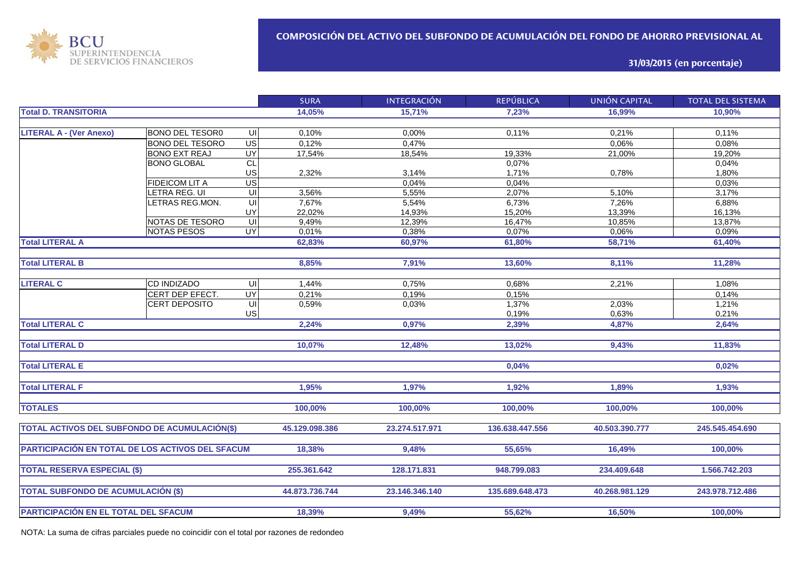

**31/03/2015 (en porcentaje)**

|                                                  |                                           |                         | <b>SURA</b>    | <b>INTEGRACIÓN</b> | <b>REPÚBLICA</b> | <b>UNIÓN CAPITAL</b> | <b>TOTAL DEL SISTEMA</b> |
|--------------------------------------------------|-------------------------------------------|-------------------------|----------------|--------------------|------------------|----------------------|--------------------------|
| <b>Total D. TRANSITORIA</b>                      |                                           |                         | 14,05%         | 15,71%             | 7,23%            | 16,99%               | 10,90%                   |
|                                                  |                                           |                         |                |                    |                  |                      |                          |
| <b>LITERAL A - (Ver Anexo)</b>                   | <b>BONO DEL TESOR0</b>                    | UI                      | 0,10%          | 0,00%              | 0,11%            | 0,21%                | 0,11%                    |
|                                                  | <b>BONO DEL TESORO</b>                    | US                      | 0,12%          | 0,47%              |                  | 0,06%                | 0,08%                    |
|                                                  | <b>BONO EXT REAJ</b>                      | <b>UY</b>               | 17,54%         | 18,54%             | 19,33%           | 21,00%               | 19,20%                   |
|                                                  | <b>BONO GLOBAL</b>                        | CL                      |                |                    | 0,07%            |                      | 0,04%                    |
|                                                  |                                           | US                      | 2,32%          | 3,14%              | 1,71%            | 0,78%                | 1,80%                    |
|                                                  | <b>FIDEICOM LIT A</b>                     | US                      |                | 0,04%              | 0,04%            |                      | 0,03%                    |
|                                                  | <b>ETRA REG. UI</b>                       | UI                      | 3,56%          | 5,55%              | 2,07%            | 5,10%                | 3,17%                    |
|                                                  | LETRAS REG.MON.                           | UI                      | 7,67%          | 5,54%              | 6,73%            | 7,26%                | 6,88%                    |
|                                                  |                                           | UY                      | 22,02%         | 14,93%             | 15,20%           | 13,39%               | 16,13%                   |
|                                                  | NOTAS DE TESORO                           | UI                      | 9,49%          | 12,39%             | 16,47%           | 10,85%               | 13,87%                   |
|                                                  | <b>NOTAS PESOS</b>                        | $\overline{\mathsf{C}}$ | 0,01%          | 0,38%              | 0,07%            | 0,06%                | 0,09%                    |
| <b>Total LITERAL A</b>                           |                                           |                         | 62,83%         | 60,97%             | 61,80%           | 58,71%               | 61,40%                   |
|                                                  |                                           |                         |                |                    |                  |                      |                          |
| <b>Total LITERAL B</b>                           |                                           |                         | 8,85%          | 7,91%              | 13,60%           | 8,11%                | 11,28%                   |
|                                                  |                                           |                         |                |                    |                  |                      |                          |
| <b>LITERAL C</b>                                 | <b>CD INDIZADO</b>                        | UI                      | 1,44%          | 0,75%              | 0,68%            | 2,21%                | 1,08%                    |
|                                                  | CERT DEP EFECT.                           | $\overline{\mathsf{C}}$ | 0,21%          | 0,19%              | 0,15%            |                      | 0,14%                    |
|                                                  | <b>CERT DEPOSITO</b>                      | $\overline{\mathsf{C}}$ | 0,59%          | 0,03%              | 1,37%            | 2,03%                | 1,21%                    |
|                                                  |                                           | US                      |                |                    | 0,19%            | 0,63%                | 0,21%                    |
| <b>Total LITERAL C</b>                           |                                           |                         | 2,24%          | 0,97%              | 2,39%            | 4,87%                | 2,64%                    |
|                                                  |                                           |                         |                |                    |                  |                      |                          |
| <b>Total LITERAL D</b>                           |                                           |                         | 10,07%         | 12,48%             | 13,02%           | 9,43%                | 11,83%                   |
|                                                  |                                           |                         |                |                    |                  |                      |                          |
| <b>Total LITERAL E</b>                           |                                           |                         |                |                    | 0,04%            |                      | 0,02%                    |
|                                                  |                                           |                         |                |                    |                  |                      |                          |
| <b>Total LITERAL F</b>                           |                                           |                         | 1,95%          | 1,97%              | 1,92%            | 1,89%                | 1,93%                    |
|                                                  |                                           |                         |                |                    |                  |                      |                          |
| <b>TOTALES</b>                                   |                                           |                         |                | 100,00%            | 100,00%          | 100,00%              | 100,00%                  |
|                                                  |                                           |                         | 100,00%        |                    |                  |                      |                          |
| TOTAL ACTIVOS DEL SUBFONDO DE ACUMULACIÓN(\$)    |                                           |                         | 45.129.098.386 | 23.274.517.971     | 136.638.447.556  | 40.503.390.777       | 245.545.454.690          |
|                                                  |                                           |                         |                |                    |                  |                      |                          |
| PARTICIPACIÓN EN TOTAL DE LOS ACTIVOS DEL SFACUM |                                           |                         | 18,38%         | 9,48%              | 55,65%           | 16.49%               | 100,00%                  |
|                                                  |                                           |                         |                |                    |                  |                      |                          |
| <b>TOTAL RESERVA ESPECIAL (\$)</b>               |                                           |                         | 255.361.642    | 128.171.831        | 948.799.083      | 234.409.648          | 1.566.742.203            |
|                                                  |                                           |                         |                |                    |                  |                      |                          |
|                                                  |                                           |                         | 44.873.736.744 | 23.146.346.140     | 135.689.648.473  | 40.268.981.129       | 243.978.712.486          |
|                                                  | <b>TOTAL SUBFONDO DE ACUMULACIÓN (\$)</b> |                         |                |                    |                  |                      |                          |
|                                                  |                                           |                         |                |                    |                  |                      |                          |
| PARTICIPACIÓN EN EL TOTAL DEL SFACUM             |                                           |                         | 18,39%         | 9,49%              | 55,62%           | 16,50%               | 100,00%                  |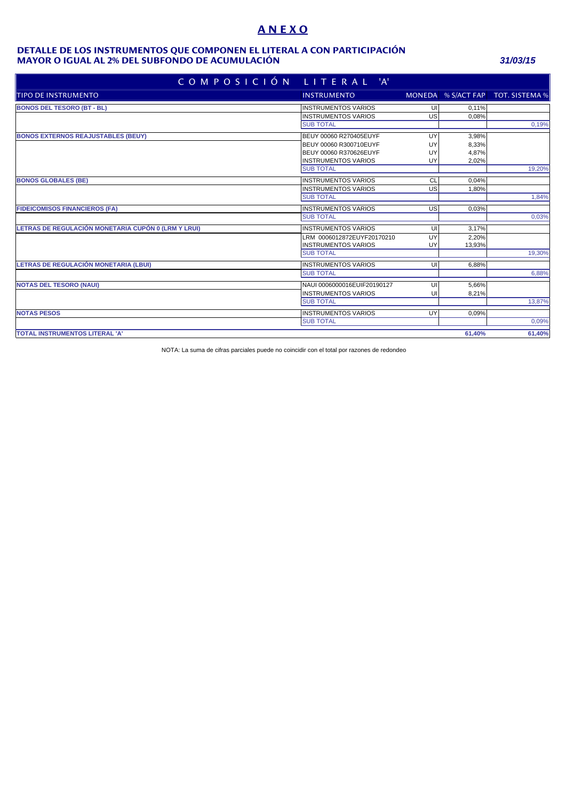# **A N E X O**

#### **MAYOR O IGUAL AL 2% DEL SUBFONDO DE ACUMULACIÓN** *31/03/15* **DETALLE DE LOS INSTRUMENTOS QUE COMPONEN EL LITERAL A CON PARTICIPACIÓN**

|                                                     | COMPOSICIÓN LITERAL 'A'     |    |        |                                   |
|-----------------------------------------------------|-----------------------------|----|--------|-----------------------------------|
| TIPO DE INSTRUMENTO                                 | <b>INSTRUMENTO</b>          |    |        | MONEDA % S/ACT FAP TOT. SISTEMA % |
| <b>BONOS DEL TESORO (BT - BL)</b>                   | <b>INSTRUMENTOS VARIOS</b>  | UI | 0.11%  |                                   |
|                                                     | <b>INSTRUMENTOS VARIOS</b>  | US | 0,08%  |                                   |
|                                                     | <b>SUB TOTAL</b>            |    |        | 0,19%                             |
| <b>BONOS EXTERNOS REAJUSTABLES (BEUY)</b>           | BEUY 00060 R270405EUYF      | UY | 3,98%  |                                   |
|                                                     | BEUY 00060 R300710EUYF      | UY | 8,33%  |                                   |
|                                                     | BEUY 00060 R370626EUYF      | UY | 4,87%  |                                   |
|                                                     | <b>INSTRUMENTOS VARIOS</b>  | UY | 2,02%  |                                   |
|                                                     | <b>SUB TOTAL</b>            |    |        | 19,20%                            |
| <b>BONOS GLOBALES (BE)</b>                          | <b>INSTRUMENTOS VARIOS</b>  | CL | 0.04%  |                                   |
|                                                     | <b>INSTRUMENTOS VARIOS</b>  | US | 1,80%  |                                   |
|                                                     | <b>SUB TOTAL</b>            |    |        | 1,84%                             |
| <b>FIDEICOMISOS FINANCIEROS (FA)</b>                | <b>INSTRUMENTOS VARIOS</b>  | US | 0,03%  |                                   |
|                                                     | <b>SUB TOTAL</b>            |    |        | 0,03%                             |
| LETRAS DE REGULACIÓN MONETARIA CUPÓN 0 (LRM Y LRUI) | <b>INSTRUMENTOS VARIOS</b>  | UI | 3.17%  |                                   |
|                                                     | LRM 0006012872EUYF20170210  | UY | 2,20%  |                                   |
|                                                     | <b>INSTRUMENTOS VARIOS</b>  | UY | 13,93% |                                   |
|                                                     | <b>SUB TOTAL</b>            |    |        | 19,30%                            |
| LETRAS DE REGULACIÓN MONETARIA (LBUI)               | <b>INSTRUMENTOS VARIOS</b>  | UI | 6.88%  |                                   |
|                                                     | <b>SUB TOTAL</b>            |    |        | 6,88%                             |
| <b>NOTAS DEL TESORO (NAUI)</b>                      | NAUI 0006000016EUIF20190127 | UI | 5,66%  |                                   |
|                                                     | <b>INSTRUMENTOS VARIOS</b>  | U  | 8,21%  |                                   |
|                                                     | <b>SUB TOTAL</b>            |    |        | 13,87%                            |
| <b>NOTAS PESOS</b>                                  | <b>INSTRUMENTOS VARIOS</b>  | UY | 0,09%  |                                   |
|                                                     | <b>SUB TOTAL</b>            |    |        | 0,09%                             |
| TOTAL INSTRUMENTOS LITERAL 'A'                      |                             |    | 61,40% | 61,40%                            |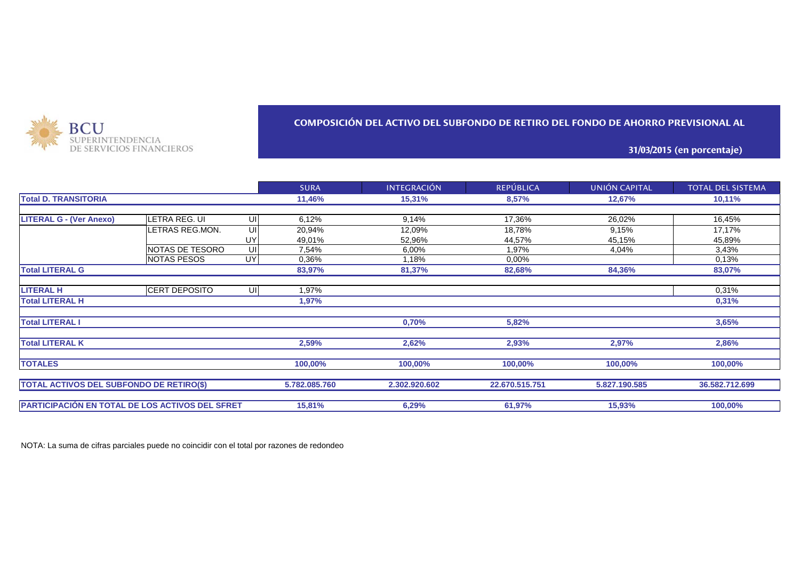

## **COMPOSICIÓN DEL ACTIVO DEL SUBFONDO DE RETIRO DEL FONDO DE AHORRO PREVISIONAL AL**

### **31/03/2015 (en porcentaje)**

|                                                        |                    |     | <b>SURA</b>   | <b>INTEGRACIÓN</b> | <b>REPÚBLICA</b> | UNIÓN CAPITAL | <b>TOTAL DEL SISTEMA</b> |
|--------------------------------------------------------|--------------------|-----|---------------|--------------------|------------------|---------------|--------------------------|
| <b>Total D. TRANSITORIA</b>                            |                    |     | 11,46%        | 15,31%             | 8,57%            | 12,67%        | $10,11\%$                |
|                                                        |                    |     |               |                    |                  |               |                          |
| <b>LITERAL G - (Ver Anexo)</b>                         | LETRA REG. UI      | UIJ | 6,12%         | 9,14%              | 17,36%           | 26,02%        | 16,45%                   |
|                                                        | LETRAS REG.MON.    | UI  | 20,94%        | 12,09%             | 18,78%           | 9,15%         | 17,17%                   |
|                                                        |                    | UY  | 49,01%        | 52,96%             | 44,57%           | 45,15%        | 45,89%                   |
|                                                        | NOTAS DE TESORO    | UI  | 7,54%         | $6,00\%$           | 1,97%            | 4,04%         | 3,43%                    |
|                                                        | <b>NOTAS PESOS</b> | UY  | 0,36%         | 1,18%              | 0.00%            |               | 0,13%                    |
| <b>Total LITERAL G</b>                                 |                    |     | 83,97%        | 81,37%             | 82,68%           | 84,36%        | 83,07%                   |
|                                                        |                    |     |               |                    |                  |               |                          |
| <b>LITERAL H</b>                                       | CERT DEPOSITO      | UI  | 1,97%         |                    |                  |               | 0,31%                    |
| <b>Total LITERAL H</b>                                 |                    |     | 1,97%         |                    |                  |               | 0,31%                    |
| <b>Total LITERAL I</b>                                 |                    |     |               | 0,70%              | 5,82%            |               | 3,65%                    |
| <b>Total LITERAL K</b>                                 |                    |     | 2,59%         | 2,62%              | 2,93%            | 2,97%         | 2,86%                    |
| <b>TOTALES</b>                                         |                    |     | 100,00%       | 100,00%            | 100,00%          | 100,00%       | 100,00%                  |
| TOTAL ACTIVOS DEL SUBFONDO DE RETIRO(\$)               |                    |     | 5.782.085.760 | 2.302.920.602      | 22.670.515.751   | 5.827.190.585 | 36.582.712.699           |
| <b>PARTICIPACIÓN EN TOTAL DE LOS ACTIVOS DEL SFRET</b> |                    |     | 15,81%        | 6,29%              | 61,97%           | 15,93%        | 100,00%                  |